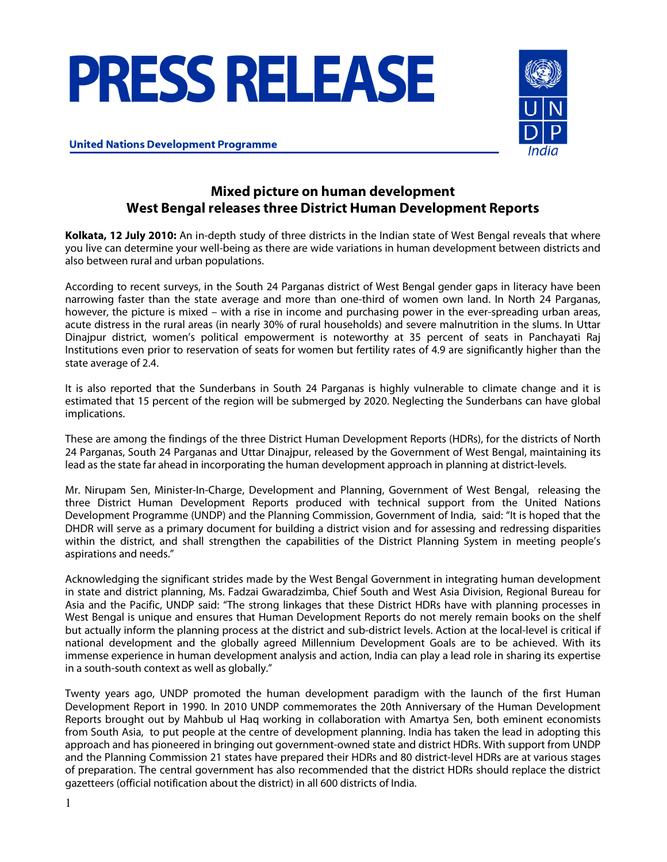# **PRESS RELEASE**



**United Nations Development Programme** 

## **Mixed picture on human development West Bengal releases three District Human Development Reports**

**Kolkata, 12 July 2010:** An in-depth study of three districts in the Indian state of West Bengal reveals that where you live can determine your well-being as there are wide variations in human development between districts and also between rural and urban populations.

According to recent surveys, in the South 24 Parganas district of West Bengal gender gaps in literacy have been narrowing faster than the state average and more than one-third of women own land. In North 24 Parganas, however, the picture is mixed – with a rise in income and purchasing power in the ever-spreading urban areas, acute distress in the rural areas (in nearly 30% of rural households) and severe malnutrition in the slums. In Uttar Dinajpur district, women's political empowerment is noteworthy at 35 percent of seats in Panchayati Raj Institutions even prior to reservation of seats for women but fertility rates of 4.9 are significantly higher than the state average of 2.4.

It is also reported that the Sunderbans in South 24 Parganas is highly vulnerable to climate change and it is estimated that 15 percent of the region will be submerged by 2020. Neglecting the Sunderbans can have global implications.

These are among the findings of the three District Human Development Reports (HDRs), for the districts of North 24 Parganas, South 24 Parganas and Uttar Dinajpur, released by the Government of West Bengal, maintaining its lead as the state far ahead in incorporating the human development approach in planning at district-levels.

Mr. Nirupam Sen, Minister-In-Charge, Development and Planning, Government of West Bengal, releasing the three District Human Development Reports produced with technical support from the United Nations Development Programme (UNDP) and the Planning Commission, Government of India, said: "It is hoped that the DHDR will serve as a primary document for building a district vision and for assessing and redressing disparities within the district, and shall strengthen the capabilities of the District Planning System in meeting people's aspirations and needs."

Acknowledging the significant strides made by the West Bengal Government in integrating human development in state and district planning, Ms. Fadzai Gwaradzimba, Chief South and West Asia Division, Regional Bureau for Asia and the Pacific, UNDP said: "The strong linkages that these District HDRs have with planning processes in West Bengal is unique and ensures that Human Development Reports do not merely remain books on the shelf but actually inform the planning process at the district and sub-district levels. Action at the local-level is critical if national development and the globally agreed Millennium Development Goals are to be achieved. With its immense experience in human development analysis and action, India can play a lead role in sharing its expertise in a south-south context as well as globally."

Twenty years ago, UNDP promoted the human development paradigm with the launch of the first Human Development Report in 1990. In 2010 UNDP commemorates the 20th Anniversary of the Human Development Reports brought out by Mahbub ul Haq working in collaboration with Amartya Sen, both eminent economists from South Asia, to put people at the centre of development planning. India has taken the lead in adopting this approach and has pioneered in bringing out government-owned state and district HDRs. With support from UNDP and the Planning Commission 21 states have prepared their HDRs and 80 district-level HDRs are at various stages of preparation. The central government has also recommended that the district HDRs should replace the district gazetteers (official notification about the district) in all 600 districts of India.